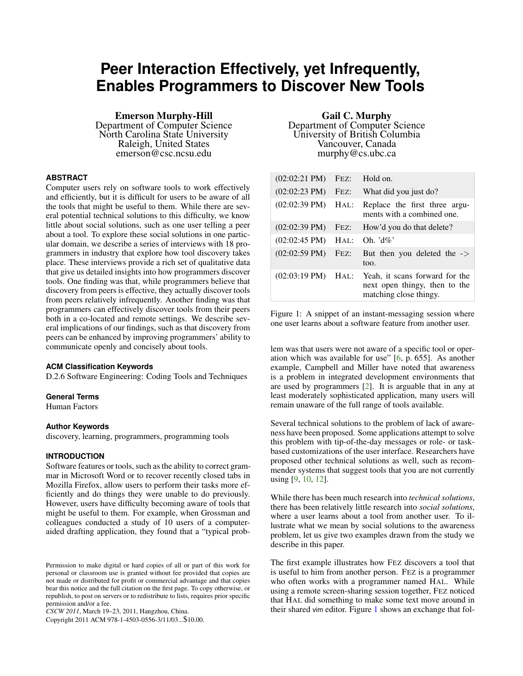# **Peer Interaction Effectively, yet Infrequently, Enables Programmers to Discover New Tools**

Emerson Murphy-Hill

Department of Computer Science North Carolina State University Raleigh, United States emerson@csc.ncsu.edu

# **ABSTRACT**

Computer users rely on software tools to work effectively and efficiently, but it is difficult for users to be aware of all the tools that might be useful to them. While there are several potential technical solutions to this difficulty, we know little about social solutions, such as one user telling a peer about a tool. To explore these social solutions in one particular domain, we describe a series of interviews with 18 programmers in industry that explore how tool discovery takes place. These interviews provide a rich set of qualitative data that give us detailed insights into how programmers discover tools. One finding was that, while programmers believe that discovery from peers is effective, they actually discover tools from peers relatively infrequently. Another finding was that programmers can effectively discover tools from their peers both in a co-located and remote settings. We describe several implications of our findings, such as that discovery from peers can be enhanced by improving programmers' ability to communicate openly and concisely about tools.

#### **ACM Classification Keywords**

D.2.6 Software Engineering: Coding Tools and Techniques

# **General Terms**

Human Factors

# **Author Keywords**

discovery, learning, programmers, programming tools

# **INTRODUCTION**

Software features or tools, such as the ability to correct grammar in Microsoft Word or to recover recently closed tabs in Mozilla Firefox, allow users to perform their tasks more efficiently and do things they were unable to do previously. However, users have difficulty becoming aware of tools that might be useful to them. For example, when Grossman and colleagues conducted a study of 10 users of a computeraided drafting application, they found that a "typical prob-

*CSCW 2011*, March 19–23, 2011, Hangzhou, China.

Copyright 2011 ACM 978-1-4503-0556-3/11/03...\$10.00.

Gail C. Murphy Department of Computer Science University of British Columbia Vancouver, Canada murphy@cs.ubc.ca

| $(02:02:21 \text{ PM})$ | FEZ: | Hold on.                                                                                  |
|-------------------------|------|-------------------------------------------------------------------------------------------|
| $(02:02:23 \text{ PM})$ | FEZ: | What did you just do?                                                                     |
| $(02:02:39 \text{ PM})$ | HAL: | Replace the first three argu-<br>ments with a combined one.                               |
| $(02:02:39 \text{ PM})$ | FEZ: | How'd you do that delete?                                                                 |
| $(02:02:45 \text{ PM})$ | HAL: | Oh. $'d\%$                                                                                |
| $(02:02:59 \text{ PM})$ | FEZ: | But then you deleted the -><br>too.                                                       |
| $(02:03:19 \text{ PM})$ | HAL: | Yeah, it scans forward for the<br>next open thingy, then to the<br>matching close thingy. |

<span id="page-0-0"></span>Figure 1: A snippet of an instant-messaging session where one user learns about a software feature from another user.

lem was that users were not aware of a specific tool or operation which was available for use" [\[6,](#page-9-0) p. 655]. As another example, Campbell and Miller have noted that awareness is a problem in integrated development environments that are used by programmers [\[2\]](#page-9-1). It is arguable that in any at least moderately sophisticated application, many users will remain unaware of the full range of tools available.

Several technical solutions to the problem of lack of awareness have been proposed. Some applications attempt to solve this problem with tip-of-the-day messages or role- or taskbased customizations of the user interface. Researchers have proposed other technical solutions as well, such as recommender systems that suggest tools that you are not currently using [\[9,](#page-9-2) [10,](#page-9-3) [12\]](#page-9-4).

While there has been much research into *technical solutions*, there has been relatively little research into *social solutions*, where a user learns about a tool from another user. To illustrate what we mean by social solutions to the awareness problem, let us give two examples drawn from the study we describe in this paper.

The first example illustrates how FEZ discovers a tool that is useful to him from another person. FEZ is a programmer who often works with a programmer named HAL. While using a remote screen-sharing session together, FEZ noticed that HAL did something to make some text move around in their shared vim editor. Figure [1](#page-0-0) shows an exchange that fol-

Permission to make digital or hard copies of all or part of this work for personal or classroom use is granted without fee provided that copies are not made or distributed for profit or commercial advantage and that copies bear this notice and the full citation on the first page. To copy otherwise, or republish, to post on servers or to redistribute to lists, requires prior specific permission and/or a fee.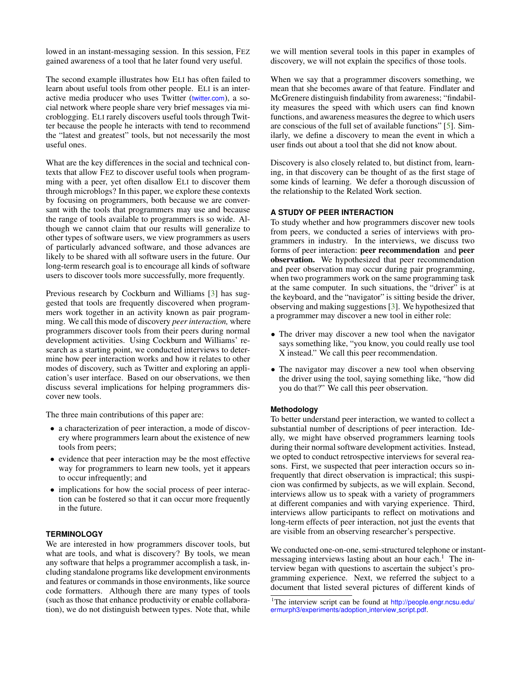lowed in an instant-messaging session. In this session, FEZ gained awareness of a tool that he later found very useful.

The second example illustrates how ELI has often failed to learn about useful tools from other people. ELI is an interactive media producer who uses Twitter (<twitter.com>), a social network where people share very brief messages via microblogging. ELI rarely discovers useful tools through Twitter because the people he interacts with tend to recommend the "latest and greatest" tools, but not necessarily the most useful ones.

What are the key differences in the social and technical contexts that allow FEZ to discover useful tools when programming with a peer, yet often disallow ELI to discover them through microblogs? In this paper, we explore these contexts by focusing on programmers, both because we are conversant with the tools that programmers may use and because the range of tools available to programmers is so wide. Although we cannot claim that our results will generalize to other types of software users, we view programmers as users of particularly advanced software, and those advances are likely to be shared with all software users in the future. Our long-term research goal is to encourage all kinds of software users to discover tools more successfully, more frequently.

Previous research by Cockburn and Williams [\[3\]](#page-9-5) has suggested that tools are frequently discovered when programmers work together in an activity known as pair programming. We call this mode of discovery *peer interaction,* where programmers discover tools from their peers during normal development activities. Using Cockburn and Williams' research as a starting point, we conducted interviews to determine how peer interaction works and how it relates to other modes of discovery, such as Twitter and exploring an application's user interface. Based on our observations, we then discuss several implications for helping programmers discover new tools.

The three main contributions of this paper are:

- a characterization of peer interaction, a mode of discovery where programmers learn about the existence of new tools from peers;
- evidence that peer interaction may be the most effective way for programmers to learn new tools, yet it appears to occur infrequently; and
- implications for how the social process of peer interaction can be fostered so that it can occur more frequently in the future.

# **TERMINOLOGY**

We are interested in how programmers discover tools, but what are tools, and what is discovery? By tools, we mean any software that helps a programmer accomplish a task, including standalone programs like development environments and features or commands in those environments, like source code formatters. Although there are many types of tools (such as those that enhance productivity or enable collaboration), we do not distinguish between types. Note that, while

we will mention several tools in this paper in examples of discovery, we will not explain the specifics of those tools.

When we say that a programmer discovers something, we mean that she becomes aware of that feature. Findlater and McGrenere distinguish findability from awareness; "findability measures the speed with which users can find known functions, and awareness measures the degree to which users are conscious of the full set of available functions" [\[5\]](#page-9-6). Similarly, we define a discovery to mean the event in which a user finds out about a tool that she did not know about.

Discovery is also closely related to, but distinct from, learning, in that discovery can be thought of as the first stage of some kinds of learning. We defer a thorough discussion of the relationship to the Related Work section.

# **A STUDY OF PEER INTERACTION**

To study whether and how programmers discover new tools from peers, we conducted a series of interviews with programmers in industry. In the interviews, we discuss two forms of peer interaction: peer recommendation and peer observation. We hypothesized that peer recommendation and peer observation may occur during pair programming, when two programmers work on the same programming task at the same computer. In such situations, the "driver" is at the keyboard, and the "navigator" is sitting beside the driver, observing and making suggestions [\[3\]](#page-9-5). We hypothesized that a programmer may discover a new tool in either role:

- The driver may discover a new tool when the navigator says something like, "you know, you could really use tool X instead." We call this peer recommendation.
- The navigator may discover a new tool when observing the driver using the tool, saying something like, "how did you do that?" We call this peer observation.

#### **Methodology**

To better understand peer interaction, we wanted to collect a substantial number of descriptions of peer interaction. Ideally, we might have observed programmers learning tools during their normal software development activities. Instead, we opted to conduct retrospective interviews for several reasons. First, we suspected that peer interaction occurs so infrequently that direct observation is impractical; this suspicion was confirmed by subjects, as we will explain. Second, interviews allow us to speak with a variety of programmers at different companies and with varying experience. Third, interviews allow participants to reflect on motivations and long-term effects of peer interaction, not just the events that are visible from an observing researcher's perspective.

We conducted one-on-one, semi-structured telephone or instantmessaging interviews lasting about an hour each.<sup>1</sup> The interview began with questions to ascertain the subject's programming experience. Next, we referred the subject to a document that listed several pictures of different kinds of

<sup>&</sup>lt;sup>1</sup>The interview script can be found at [http://people.engr.ncsu.edu/](http://people.engr.ncsu.edu/ermurph3/experiments/adoption_interview_script.pdf) [ermurph3/experiments/adoption](http://people.engr.ncsu.edu/ermurph3/experiments/adoption_interview_script.pdf) interview script.pdf.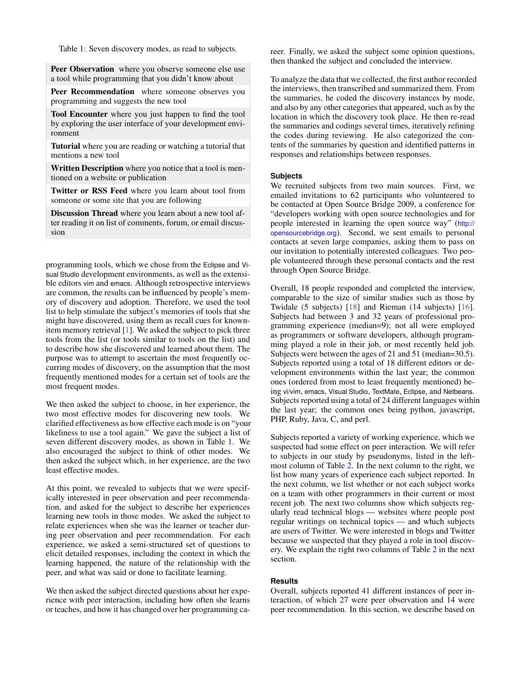<span id="page-2-0"></span>Table 1: Seven discovery modes, as read to subjects.

Peer Observation where you observe someone else use a tool while programming that you didn't know about

Peer Recommendation where someone observes you programming and suggests the new tool

Tool Encounter where you just happen to find the tool by exploring the user interface of your development environment

Tutorial where you are reading or watching a tutorial that mentions a new tool

Written Description where you notice that a tool is mentioned on a website or publication

Twitter or RSS Feed where you learn about tool from someone or some site that you are following

Discussion Thread where you learn about a new tool after reading it on list of comments, forum, or email discussion

programming tools, which we chose from the Eclipse and Visual Studio development environments, as well as the extensible editors vim and emacs. Although retrospective interviews are common, the results can be influenced by people's memory of discovery and adoption. Therefore, we used the tool list to help stimulate the subject's memories of tools that she might have discovered, using them as recall cues for knownitem memory retrieval [\[1\]](#page-9-7). We asked the subject to pick three tools from the list (or tools similar to tools on the list) and to describe how she discovered and learned about them. The purpose was to attempt to ascertain the most frequently occurring modes of discovery, on the assumption that the most frequently mentioned modes for a certain set of tools are the most frequent modes.

We then asked the subject to choose, in her experience, the two most effective modes for discovering new tools. We clarified effectiveness as how effective each mode is on "your likeliness to use a tool again." We gave the subject a list of seven different discovery modes, as shown in Table [1.](#page-2-0) We also encouraged the subject to think of other modes. We then asked the subject which, in her experience, are the two least effective modes.

At this point, we revealed to subjects that we were specifically interested in peer observation and peer recommendation, and asked for the subject to describe her experiences learning new tools in those modes. We asked the subject to relate experiences when she was the learner or teacher during peer observation and peer recommendation. For each experience, we asked a semi-structured set of questions to elicit detailed responses, including the context in which the learning happened, the nature of the relationship with the peer, and what was said or done to facilitate learning.

We then asked the subject directed questions about her experience with peer interaction, including how often she learns or teaches, and how it has changed over her programming career. Finally, we asked the subject some opinion questions, then thanked the subject and concluded the interview.

To analyze the data that we collected, the first author recorded the interviews, then transcribed and summarized them. From the summaries, he coded the discovery instances by mode, and also by any other categories that appeared, such as by the location in which the discovery took place. He then re-read the summaries and codings several times, iteratively refining the codes during reviewing. He also categorized the contents of the summaries by question and identified patterns in responses and relationships between responses.

#### **Subjects**

We recruited subjects from two main sources. First, we emailed invitations to 62 participants who volunteered to be contacted at Open Source Bridge 2009, a conference for "developers working with open source technologies and for people interested in learning the open source way" ([http://](http://opensourcebridge.org) [opensourcebridge.org](http://opensourcebridge.org)). Second, we sent emails to personal contacts at seven large companies, asking them to pass on our invitation to potentially interested colleagues. Two people volunteered through these personal contacts and the rest through Open Source Bridge.

Overall, 18 people responded and completed the interview, comparable to the size of similar studies such as those by Twidale (5 subjects) [\[18\]](#page-9-8) and Rieman (14 subjects) [\[16\]](#page-9-9). Subjects had between 3 and 32 years of professional programming experience (median=9); not all were employed as programmers or software developers, although programming played a role in their job, or most recently held job. Subjects were between the ages of 21 and 51 (median=30.5). Subjects reported using a total of 18 different editors or development environments within the last year; the common ones (ordered from most to least frequently mentioned) being vi/vim, emacs, Visual Studio, TextMate, Eclipse, and Netbeans. Subjects reported using a total of 24 different languages within the last year; the common ones being python, javascript, PHP, Ruby, Java, C, and perl.

Subjects reported a variety of working experience, which we suspected had some effect on peer interaction. We will refer to subjects in our study by pseudonyms, listed in the leftmost column of Table [2.](#page-3-0) In the next column to the right, we list how many years of experience each subject reported. In the next column, we list whether or not each subject works on a team with other programmers in their current or most recent job. The next two columns show which subjects regularly read technical blogs — websites where people post regular writings on technical topics — and which subjects are users of Twitter. We were interested in blogs and Twitter because we suspected that they played a role in tool discovery. We explain the right two columns of Table [2](#page-3-0) in the next section.

# **Results**

Overall, subjects reported 41 different instances of peer interaction, of which 27 were peer observation and 14 were peer recommendation. In this section, we describe based on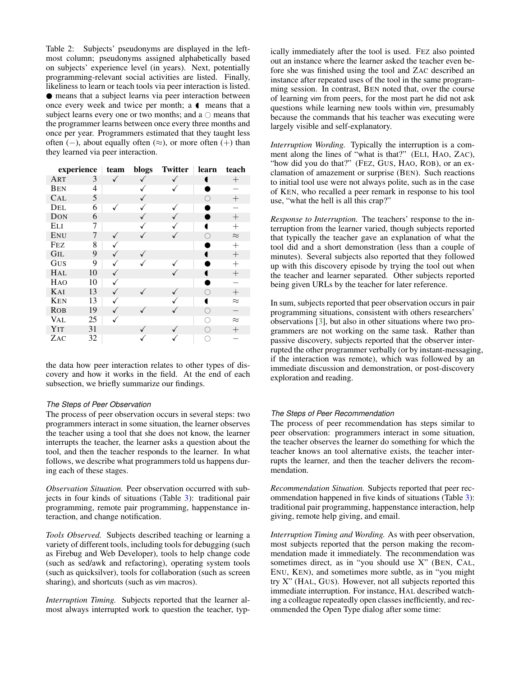<span id="page-3-0"></span>Table 2: Subjects' pseudonyms are displayed in the leftmost column; pseudonyms assigned alphabetically based on subjects' experience level (in years). Next, potentially programming-relevant social activities are listed. Finally, likeliness to learn or teach tools via peer interaction is listed. means that a subject learns via peer interaction between once every week and twice per month; a  $\bullet$  means that a subject learns every one or two months; and a  $\circ$  means that the programmer learns between once every three months and once per year. Programmers estimated that they taught less often (−), about equally often ( $\approx$ ), or more often (+) than they learned via peer interaction.

| experience |    | team         | blogs        | <b>Twitter</b> | learn          | teach     |
|------------|----|--------------|--------------|----------------|----------------|-----------|
| ART        | 3  | $\checkmark$ | ✓            | ✓              | $\blacksquare$ | $^{+}$    |
| <b>BEN</b> | 4  |              |              |                |                |           |
| CAL        | 5  |              |              |                | 0              | $^{+}$    |
| DEL        | 6  |              |              |                |                |           |
| <b>DON</b> | 6  |              |              |                |                | $^{+}$    |
| ELI        | 7  |              |              |                | 1              | $^{+}$    |
| ENU        | 7  | ✓            |              |                | ∩              | $\approx$ |
| <b>FEZ</b> | 8  |              |              |                |                | $+$       |
| <b>GIL</b> | 9  |              | $\checkmark$ |                | 1              | $^{+}$    |
| GUS        | 9  |              |              |                |                | $^{+}$    |
| <b>HAL</b> | 10 |              |              |                |                | $^{+}$    |
| HAO        | 10 |              |              |                |                |           |
| KAI        | 13 |              |              | ✓              | ∩              |           |
| <b>KEN</b> | 13 | ✓            |              |                | d              | $\approx$ |
| <b>ROB</b> | 19 |              |              |                | 0              |           |
| <b>VAL</b> | 25 |              |              |                | ◯              | $\approx$ |
| YIT        | 31 |              |              |                | ∩              | $^{+}$    |
| ZAC        | 32 |              |              |                | ∩              |           |

the data how peer interaction relates to other types of discovery and how it works in the field. At the end of each subsection, we briefly summarize our findings.

# *The Steps of Peer Observation*

The process of peer observation occurs in several steps: two programmers interact in some situation, the learner observes the teacher using a tool that she does not know, the learner interrupts the teacher, the learner asks a question about the tool, and then the teacher responds to the learner. In what follows, we describe what programmers told us happens during each of these stages.

*Observation Situation.* Peer observation occurred with subjects in four kinds of situations (Table [3\)](#page-4-0): traditional pair programming, remote pair programming, happenstance interaction, and change notification.

*Tools Observed.* Subjects described teaching or learning a variety of different tools, including tools for debugging (such as Firebug and Web Developer), tools to help change code (such as sed/awk and refactoring), operating system tools (such as quicksilver), tools for collaboration (such as screen sharing), and shortcuts (such as vim macros).

*Interruption Timing.* Subjects reported that the learner almost always interrupted work to question the teacher, typically immediately after the tool is used. FEZ also pointed out an instance where the learner asked the teacher even before she was finished using the tool and ZAC described an instance after repeated uses of the tool in the same programming session. In contrast, BEN noted that, over the course of learning vim from peers, for the most part he did not ask questions while learning new tools within vim, presumably because the commands that his teacher was executing were largely visible and self-explanatory.

*Interruption Wording.* Typically the interruption is a comment along the lines of "what is that?" (ELI, HAO, ZAC), "how did you do that?" (FEZ, GUS, HAO, ROB), or an exclamation of amazement or surprise (BEN). Such reactions to initial tool use were not always polite, such as in the case of KEN, who recalled a peer remark in response to his tool use, "what the hell is all this crap?"

*Response to Interruption.* The teachers' response to the interruption from the learner varied, though subjects reported that typically the teacher gave an explanation of what the tool did and a short demonstration (less than a couple of minutes). Several subjects also reported that they followed up with this discovery episode by trying the tool out when the teacher and learner separated. Other subjects reported being given URLs by the teacher for later reference.

In sum, subjects reported that peer observation occurs in pair programming situations, consistent with others researchers' observations [\[3\]](#page-9-5), but also in other situations where two programmers are not working on the same task. Rather than passive discovery, subjects reported that the observer interrupted the other programmer verbally (or by instant-messaging, if the interaction was remote), which was followed by an immediate discussion and demonstration, or post-discovery exploration and reading.

#### *The Steps of Peer Recommendation*

The process of peer recommendation has steps similar to peer observation: programmers interact in some situation, the teacher observes the learner do something for which the teacher knows an tool alternative exists, the teacher interrupts the learner, and then the teacher delivers the recommendation.

*Recommendation Situation.* Subjects reported that peer recommendation happened in five kinds of situations (Table [3\)](#page-4-0): traditional pair programming, happenstance interaction, help giving, remote help giving, and email.

*Interruption Timing and Wording.* As with peer observation, most subjects reported that the person making the recommendation made it immediately. The recommendation was sometimes direct, as in "you should use X" (BEN, CAL, ENU, KEN), and sometimes more subtle, as in "you might try X" (HAL, GUS). However, not all subjects reported this immediate interruption. For instance, HAL described watching a colleague repeatedly open classes inefficiently, and recommended the Open Type dialog after some time: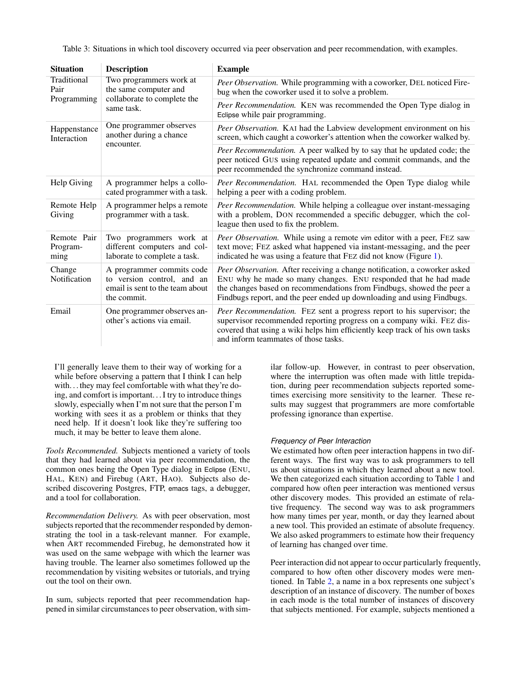<span id="page-4-0"></span>

|  |  | Table 3: Situations in which tool discovery occurred via peer observation and peer recommendation, with examples, |  |
|--|--|-------------------------------------------------------------------------------------------------------------------|--|
|  |  |                                                                                                                   |  |

| <b>Situation</b>                   | <b>Description</b>                                                                                        | <b>Example</b>                                                                                                                                                                                                                                                                                  |
|------------------------------------|-----------------------------------------------------------------------------------------------------------|-------------------------------------------------------------------------------------------------------------------------------------------------------------------------------------------------------------------------------------------------------------------------------------------------|
| Traditional<br>Pair<br>Programming | Two programmers work at<br>the same computer and                                                          | Peer Observation. While programming with a coworker, DEL noticed Fire-<br>bug when the coworker used it to solve a problem.                                                                                                                                                                     |
|                                    | collaborate to complete the<br>same task.                                                                 | Peer Recommendation. KEN was recommended the Open Type dialog in<br>Eclipse while pair programming.                                                                                                                                                                                             |
| Happenstance<br>Interaction        | One programmer observes<br>another during a chance<br>encounter.                                          | Peer Observation. KAI had the Labview development environment on his<br>screen, which caught a coworker's attention when the coworker walked by.                                                                                                                                                |
|                                    |                                                                                                           | Peer Recommendation. A peer walked by to say that he updated code; the<br>peer noticed GUS using repeated update and commit commands, and the<br>peer recommended the synchronize command instead.                                                                                              |
| Help Giving                        | A programmer helps a collo-<br>cated programmer with a task.                                              | Peer Recommendation. HAL recommended the Open Type dialog while<br>helping a peer with a coding problem.                                                                                                                                                                                        |
| Remote Help<br>Giving              | A programmer helps a remote<br>programmer with a task.                                                    | Peer Recommendation. While helping a colleague over instant-messaging<br>with a problem, DON recommended a specific debugger, which the col-<br>league then used to fix the problem.                                                                                                            |
| Remote Pair<br>Program-<br>ming    | Two programmers work at<br>different computers and col-<br>laborate to complete a task.                   | Peer Observation. While using a remote vim editor with a peer, FEZ saw<br>text move; FEZ asked what happened via instant-messaging, and the peer<br>indicated he was using a feature that FEZ did not know (Figure 1).                                                                          |
| Change<br>Notification             | A programmer commits code<br>to version control, and an<br>email is sent to the team about<br>the commit. | Peer Observation. After receiving a change notification, a coworker asked<br>ENU why he made so many changes. ENU responded that he had made<br>the changes based on recommendations from Findbugs, showed the peer a<br>Findbugs report, and the peer ended up downloading and using Findbugs. |
| Email                              | One programmer observes an-<br>other's actions via email.                                                 | Peer Recommendation. FEZ sent a progress report to his supervisor; the<br>supervisor recommended reporting progress on a company wiki. FEZ dis-<br>covered that using a wiki helps him efficiently keep track of his own tasks<br>and inform teammates of those tasks.                          |

I'll generally leave them to their way of working for a while before observing a pattern that I think I can help with. . . they may feel comfortable with what they're doing, and comfort is important. . . I try to introduce things slowly, especially when I'm not sure that the person I'm working with sees it as a problem or thinks that they need help. If it doesn't look like they're suffering too much, it may be better to leave them alone.

*Tools Recommended.* Subjects mentioned a variety of tools that they had learned about via peer recommendation, the common ones being the Open Type dialog in Eclipse (ENU, HAL, KEN) and Firebug (ART, HAO). Subjects also described discovering Postgres, FTP, emacs tags, a debugger, and a tool for collaboration.

*Recommendation Delivery.* As with peer observation, most subjects reported that the recommender responded by demonstrating the tool in a task-relevant manner. For example, when ART recommended Firebug, he demonstrated how it was used on the same webpage with which the learner was having trouble. The learner also sometimes followed up the recommendation by visiting websites or tutorials, and trying out the tool on their own.

In sum, subjects reported that peer recommendation happened in similar circumstances to peer observation, with similar follow-up. However, in contrast to peer observation, where the interruption was often made with little trepidation, during peer recommendation subjects reported sometimes exercising more sensitivity to the learner. These results may suggest that programmers are more comfortable professing ignorance than expertise.

## *Frequency of Peer Interaction*

We estimated how often peer interaction happens in two different ways. The first way was to ask programmers to tell us about situations in which they learned about a new tool. We then categorized each situation according to Table [1](#page-2-0) and compared how often peer interaction was mentioned versus other discovery modes. This provided an estimate of relative frequency. The second way was to ask programmers how many times per year, month, or day they learned about a new tool. This provided an estimate of absolute frequency. We also asked programmers to estimate how their frequency of learning has changed over time.

Peer interaction did not appear to occur particularly frequently, compared to how often other discovery modes were mentioned. In Table [2,](#page-5-0) a name in a box represents one subject's description of an instance of discovery. The number of boxes in each mode is the total number of instances of discovery that subjects mentioned. For example, subjects mentioned a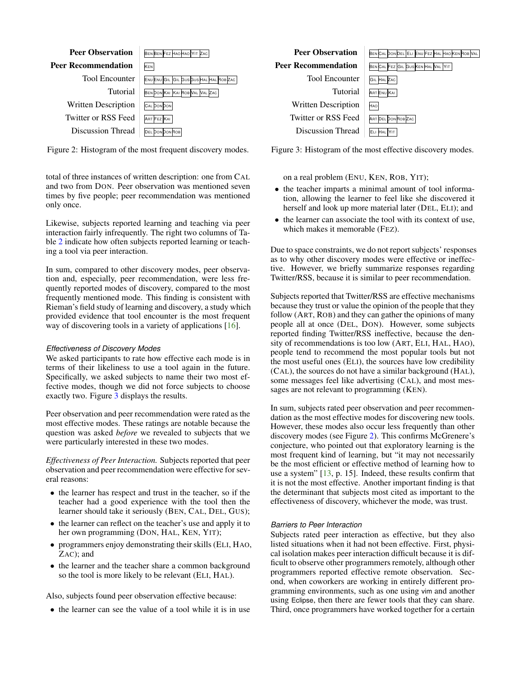

<span id="page-5-0"></span>Figure 2: Histogram of the most frequent discovery modes.

total of three instances of written description: one from CAL and two from DON. Peer observation was mentioned seven times by five people; peer recommendation was mentioned only once.

Likewise, subjects reported learning and teaching via peer interaction fairly infrequently. The right two columns of Table [2](#page-3-0) indicate how often subjects reported learning or teaching a tool via peer interaction.

In sum, compared to other discovery modes, peer observation and, especially, peer recommendation, were less frequently reported modes of discovery, compared to the most frequently mentioned mode. This finding is consistent with Rieman's field study of learning and discovery, a study which provided evidence that tool encounter is the most frequent way of discovering tools in a variety of applications [\[16\]](#page-9-9).

#### *Effectiveness of Discovery Modes*

We asked participants to rate how effective each mode is in terms of their likeliness to use a tool again in the future. Specifically, we asked subjects to name their two most effective modes, though we did not force subjects to choose exactly two. Figure  $\overline{3}$  $\overline{3}$  $\overline{3}$  displays the results.

Peer observation and peer recommendation were rated as the most effective modes. These ratings are notable because the question was asked *before* we revealed to subjects that we were particularly interested in these two modes.

*Effectiveness of Peer Interaction.* Subjects reported that peer observation and peer recommendation were effective for several reasons:

- the learner has respect and trust in the teacher, so if the teacher had a good experience with the tool then the learner should take it seriously (BEN, CAL, DEL, GUS);
- the learner can reflect on the teacher's use and apply it to her own programming (DON, HAL, KEN, YIT);
- programmers enjoy demonstrating their skills (ELI, HAO, ZAC); and
- the learner and the teacher share a common background so the tool is more likely to be relevant (ELI, HAL).

Also, subjects found peer observation effective because:

• the learner can see the value of a tool while it is in use



<span id="page-5-1"></span>Figure 3: Histogram of the most effective discovery modes.

on a real problem (ENU, KEN, ROB, YIT);

- the teacher imparts a minimal amount of tool information, allowing the learner to feel like she discovered it herself and look up more material later (DEL, ELI); and
- the learner can associate the tool with its context of use, which makes it memorable (FEZ).

Due to space constraints, we do not report subjects' responses as to why other discovery modes were effective or ineffective. However, we briefly summarize responses regarding Twitter/RSS, because it is similar to peer recommendation.

Subjects reported that Twitter/RSS are effective mechanisms because they trust or value the opinion of the people that they follow (ART, ROB) and they can gather the opinions of many people all at once (DEL, DON). However, some subjects reported finding Twitter/RSS ineffective, because the density of recommendations is too low (ART, ELI, HAL, HAO), people tend to recommend the most popular tools but not the most useful ones (ELI), the sources have low credibility (CAL), the sources do not have a similar background (HAL), some messages feel like advertising (CAL), and most messages are not relevant to programming (KEN).

In sum, subjects rated peer observation and peer recommendation as the most effective modes for discovering new tools. However, these modes also occur less frequently than other discovery modes (see Figure [2\)](#page-5-0). This confirms McGrenere's conjecture, who pointed out that exploratory learning is the most frequent kind of learning, but "it may not necessarily be the most efficient or effective method of learning how to use a system" [\[13,](#page-9-10) p. 15]. Indeed, these results confirm that it is not the most effective. Another important finding is that the determinant that subjects most cited as important to the effectiveness of discovery, whichever the mode, was trust.

# *Barriers to Peer Interaction*

Subjects rated peer interaction as effective, but they also listed situations when it had not been effective. First, physical isolation makes peer interaction difficult because it is difficult to observe other programmers remotely, although other programmers reported effective remote observation. Second, when coworkers are working in entirely different programming environments, such as one using vim and another using Eclipse, then there are fewer tools that they can share. Third, once programmers have worked together for a certain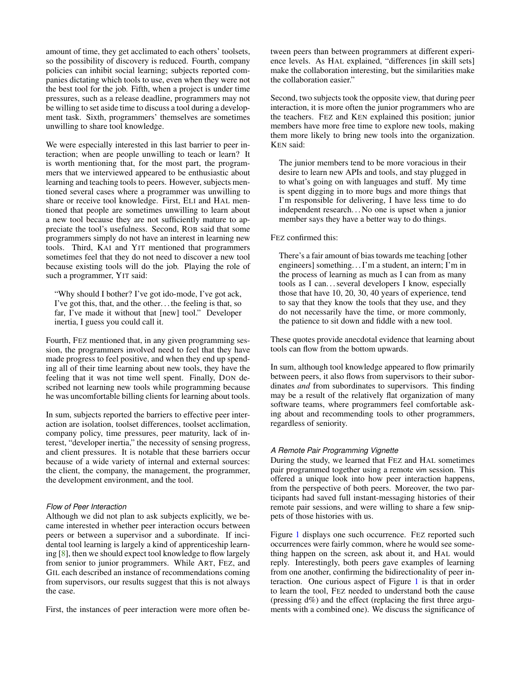amount of time, they get acclimated to each others' toolsets, so the possibility of discovery is reduced. Fourth, company policies can inhibit social learning; subjects reported companies dictating which tools to use, even when they were not the best tool for the job. Fifth, when a project is under time pressures, such as a release deadline, programmers may not be willing to set aside time to discuss a tool during a development task. Sixth, programmers' themselves are sometimes unwilling to share tool knowledge.

We were especially interested in this last barrier to peer interaction; when are people unwilling to teach or learn? It is worth mentioning that, for the most part, the programmers that we interviewed appeared to be enthusiastic about learning and teaching tools to peers. However, subjects mentioned several cases where a programmer was unwilling to share or receive tool knowledge. First, ELI and HAL mentioned that people are sometimes unwilling to learn about a new tool because they are not sufficiently mature to appreciate the tool's usefulness. Second, ROB said that some programmers simply do not have an interest in learning new tools. Third, KAI and YIT mentioned that programmers sometimes feel that they do not need to discover a new tool because existing tools will do the job. Playing the role of such a programmer, YIT said:

"Why should I bother? I've got ido-mode, I've got ack, I've got this, that, and the other. . . the feeling is that, so far, I've made it without that [new] tool." Developer inertia, I guess you could call it.

Fourth, FEZ mentioned that, in any given programming session, the programmers involved need to feel that they have made progress to feel positive, and when they end up spending all of their time learning about new tools, they have the feeling that it was not time well spent. Finally, DON described not learning new tools while programming because he was uncomfortable billing clients for learning about tools.

In sum, subjects reported the barriers to effective peer interaction are isolation, toolset differences, toolset acclimation, company policy, time pressures, peer maturity, lack of interest, "developer inertia," the necessity of sensing progress, and client pressures. It is notable that these barriers occur because of a wide variety of internal and external sources: the client, the company, the management, the programmer, the development environment, and the tool.

# *Flow of Peer Interaction*

Although we did not plan to ask subjects explicitly, we became interested in whether peer interaction occurs between peers or between a supervisor and a subordinate. If incidental tool learning is largely a kind of apprenticeship learning [\[8\]](#page-9-11), then we should expect tool knowledge to flow largely from senior to junior programmers. While ART, FEZ, and GIL each described an instance of recommendations coming from supervisors, our results suggest that this is not always the case.

First, the instances of peer interaction were more often be-

tween peers than between programmers at different experience levels. As HAL explained, "differences [in skill sets] make the collaboration interesting, but the similarities make the collaboration easier."

Second, two subjects took the opposite view, that during peer interaction, it is more often the junior programmers who are the teachers. FEZ and KEN explained this position; junior members have more free time to explore new tools, making them more likely to bring new tools into the organization. KEN said:

The junior members tend to be more voracious in their desire to learn new APIs and tools, and stay plugged in to what's going on with languages and stuff. My time is spent digging in to more bugs and more things that I'm responsible for delivering, I have less time to do independent research. . . No one is upset when a junior member says they have a better way to do things.

# FEZ confirmed this:

There's a fair amount of bias towards me teaching [other engineers] something. . . I'm a student, an intern; I'm in the process of learning as much as I can from as many tools as I can. . . several developers I know, especially those that have 10, 20, 30, 40 years of experience, tend to say that they know the tools that they use, and they do not necessarily have the time, or more commonly, the patience to sit down and fiddle with a new tool.

These quotes provide anecdotal evidence that learning about tools can flow from the bottom upwards.

In sum, although tool knowledge appeared to flow primarily between peers, it also flows from supervisors to their subordinates *and* from subordinates to supervisors. This finding may be a result of the relatively flat organization of many software teams, where programmers feel comfortable asking about and recommending tools to other programmers, regardless of seniority.

#### *A Remote Pair Programming Vignette*

During the study, we learned that FEZ and HAL sometimes pair programmed together using a remote vim session. This offered a unique look into how peer interaction happens, from the perspective of both peers. Moreover, the two participants had saved full instant-messaging histories of their remote pair sessions, and were willing to share a few snippets of those histories with us.

Figure [1](#page-0-0) displays one such occurrence. FEZ reported such occurrences were fairly common, where he would see something happen on the screen, ask about it, and HAL would reply. Interestingly, both peers gave examples of learning from one another, confirming the bidirectionality of peer interaction. One curious aspect of Figure [1](#page-0-0) is that in order to learn the tool, FEZ needed to understand both the cause (pressing d%) and the effect (replacing the first three arguments with a combined one). We discuss the significance of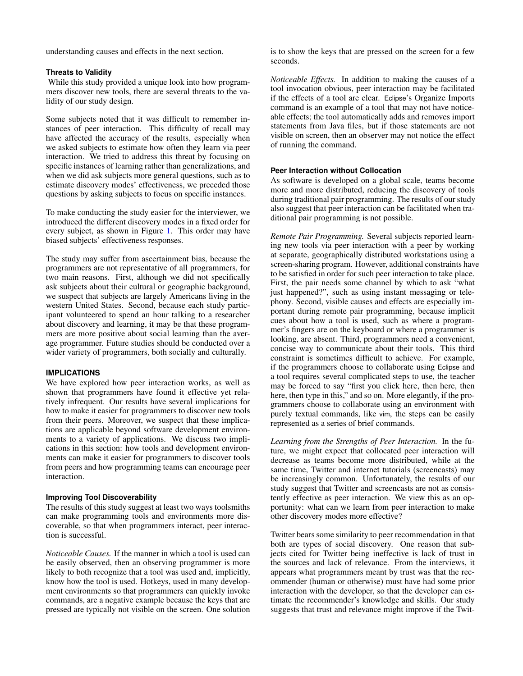understanding causes and effects in the next section.

## **Threats to Validity**

While this study provided a unique look into how programmers discover new tools, there are several threats to the validity of our study design.

Some subjects noted that it was difficult to remember instances of peer interaction. This difficulty of recall may have affected the accuracy of the results, especially when we asked subjects to estimate how often they learn via peer interaction. We tried to address this threat by focusing on specific instances of learning rather than generalizations, and when we did ask subjects more general questions, such as to estimate discovery modes' effectiveness, we preceded those questions by asking subjects to focus on specific instances.

To make conducting the study easier for the interviewer, we introduced the different discovery modes in a fixed order for every subject, as shown in Figure [1.](#page-2-0) This order may have biased subjects' effectiveness responses.

The study may suffer from ascertainment bias, because the programmers are not representative of all programmers, for two main reasons. First, although we did not specifically ask subjects about their cultural or geographic background, we suspect that subjects are largely Americans living in the western United States. Second, because each study participant volunteered to spend an hour talking to a researcher about discovery and learning, it may be that these programmers are more positive about social learning than the average programmer. Future studies should be conducted over a wider variety of programmers, both socially and culturally.

# **IMPLICATIONS**

We have explored how peer interaction works, as well as shown that programmers have found it effective yet relatively infrequent. Our results have several implications for how to make it easier for programmers to discover new tools from their peers. Moreover, we suspect that these implications are applicable beyond software development environments to a variety of applications. We discuss two implications in this section: how tools and development environments can make it easier for programmers to discover tools from peers and how programming teams can encourage peer interaction.

#### **Improving Tool Discoverability**

The results of this study suggest at least two ways toolsmiths can make programming tools and environments more discoverable, so that when programmers interact, peer interaction is successful.

*Noticeable Causes.* If the manner in which a tool is used can be easily observed, then an observing programmer is more likely to both recognize that a tool was used and, implicitly, know how the tool is used. Hotkeys, used in many development environments so that programmers can quickly invoke commands, are a negative example because the keys that are pressed are typically not visible on the screen. One solution is to show the keys that are pressed on the screen for a few seconds.

*Noticeable Effects.* In addition to making the causes of a tool invocation obvious, peer interaction may be facilitated if the effects of a tool are clear. Eclipse's Organize Imports command is an example of a tool that may not have noticeable effects; the tool automatically adds and removes import statements from Java files, but if those statements are not visible on screen, then an observer may not notice the effect of running the command.

# **Peer Interaction without Collocation**

As software is developed on a global scale, teams become more and more distributed, reducing the discovery of tools during traditional pair programming. The results of our study also suggest that peer interaction can be facilitated when traditional pair programming is not possible.

*Remote Pair Programming.* Several subjects reported learning new tools via peer interaction with a peer by working at separate, geographically distributed workstations using a screen-sharing program. However, additional constraints have to be satisfied in order for such peer interaction to take place. First, the pair needs some channel by which to ask "what just happened?", such as using instant messaging or telephony. Second, visible causes and effects are especially important during remote pair programming, because implicit cues about how a tool is used, such as where a programmer's fingers are on the keyboard or where a programmer is looking, are absent. Third, programmers need a convenient, concise way to communicate about their tools. This third constraint is sometimes difficult to achieve. For example, if the programmers choose to collaborate using Eclipse and a tool requires several complicated steps to use, the teacher may be forced to say "first you click here, then here, then here, then type in this," and so on. More elegantly, if the programmers choose to collaborate using an environment with purely textual commands, like vim, the steps can be easily represented as a series of brief commands.

*Learning from the Strengths of Peer Interaction.* In the future, we might expect that collocated peer interaction will decrease as teams become more distributed, while at the same time, Twitter and internet tutorials (screencasts) may be increasingly common. Unfortunately, the results of our study suggest that Twitter and screencasts are not as consistently effective as peer interaction. We view this as an opportunity: what can we learn from peer interaction to make other discovery modes more effective?

Twitter bears some similarity to peer recommendation in that both are types of social discovery. One reason that subjects cited for Twitter being ineffective is lack of trust in the sources and lack of relevance. From the interviews, it appears what programmers meant by trust was that the recommender (human or otherwise) must have had some prior interaction with the developer, so that the developer can estimate the recommender's knowledge and skills. Our study suggests that trust and relevance might improve if the Twit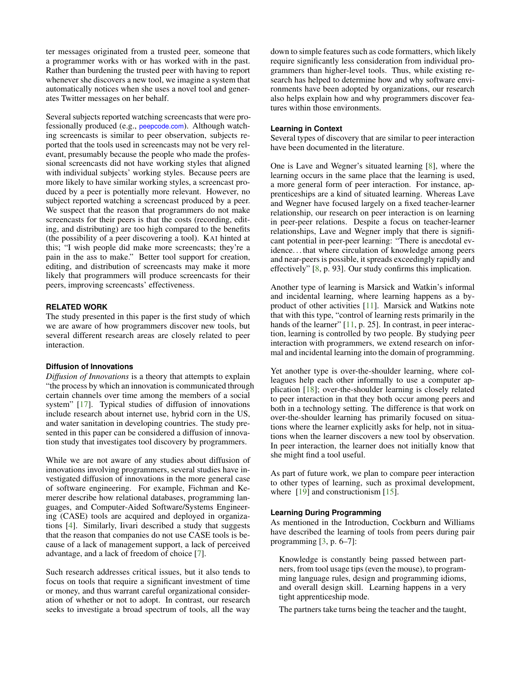ter messages originated from a trusted peer, someone that a programmer works with or has worked with in the past. Rather than burdening the trusted peer with having to report whenever she discovers a new tool, we imagine a system that automatically notices when she uses a novel tool and generates Twitter messages on her behalf.

Several subjects reported watching screencasts that were professionally produced (e.g., <peepcode.com>). Although watching screencasts is similar to peer observation, subjects reported that the tools used in screencasts may not be very relevant, presumably because the people who made the professional screencasts did not have working styles that aligned with individual subjects' working styles. Because peers are more likely to have similar working styles, a screencast produced by a peer is potentially more relevant. However, no subject reported watching a screencast produced by a peer. We suspect that the reason that programmers do not make screencasts for their peers is that the costs (recording, editing, and distributing) are too high compared to the benefits (the possibility of a peer discovering a tool). KAI hinted at this; "I wish people did make more screencasts; they're a pain in the ass to make." Better tool support for creation, editing, and distribution of screencasts may make it more likely that programmers will produce screencasts for their peers, improving screencasts' effectiveness.

## **RELATED WORK**

The study presented in this paper is the first study of which we are aware of how programmers discover new tools, but several different research areas are closely related to peer interaction.

#### **Diffusion of Innovations**

*Diffusion of Innovations* is a theory that attempts to explain "the process by which an innovation is communicated through certain channels over time among the members of a social system" [\[17\]](#page-9-12). Typical studies of diffusion of innovations include research about internet use, hybrid corn in the US, and water sanitation in developing countries. The study presented in this paper can be considered a diffusion of innovation study that investigates tool discovery by programmers.

While we are not aware of any studies about diffusion of innovations involving programmers, several studies have investigated diffusion of innovations in the more general case of software engineering. For example, Fichman and Kemerer describe how relational databases, programming languages, and Computer-Aided Software/Systems Engineering (CASE) tools are acquired and deployed in organizations [\[4\]](#page-9-13). Similarly, Iivari described a study that suggests that the reason that companies do not use CASE tools is because of a lack of management support, a lack of perceived advantage, and a lack of freedom of choice [\[7\]](#page-9-14).

Such research addresses critical issues, but it also tends to focus on tools that require a significant investment of time or money, and thus warrant careful organizational consideration of whether or not to adopt. In contrast, our research seeks to investigate a broad spectrum of tools, all the way down to simple features such as code formatters, which likely require significantly less consideration from individual programmers than higher-level tools. Thus, while existing research has helped to determine how and why software environments have been adopted by organizations, our research also helps explain how and why programmers discover features within those environments.

#### **Learning in Context**

Several types of discovery that are similar to peer interaction have been documented in the literature.

One is Lave and Wegner's situated learning [\[8\]](#page-9-11), where the learning occurs in the same place that the learning is used, a more general form of peer interaction. For instance, apprenticeships are a kind of situated learning. Whereas Lave and Wegner have focused largely on a fixed teacher-learner relationship, our research on peer interaction is on learning in peer-peer relations. Despite a focus on teacher-learner relationships, Lave and Wegner imply that there is significant potential in peer-peer learning: "There is anecdotal evidence. . . that where circulation of knowledge among peers and near-peers is possible, it spreads exceedingly rapidly and effectively" [\[8,](#page-9-11) p. 93]. Our study confirms this implication.

Another type of learning is Marsick and Watkin's informal and incidental learning, where learning happens as a byproduct of other activities [\[11\]](#page-9-15). Marsick and Watkins note that with this type, "control of learning rests primarily in the hands of the learner" [\[11,](#page-9-15) p. 25]. In contrast, in peer interaction, learning is controlled by two people. By studying peer interaction with programmers, we extend research on informal and incidental learning into the domain of programming.

Yet another type is over-the-shoulder learning, where colleagues help each other informally to use a computer application [\[18\]](#page-9-8); over-the-shoulder learning is closely related to peer interaction in that they both occur among peers and both in a technology setting. The difference is that work on over-the-shoulder learning has primarily focused on situations where the learner explicitly asks for help, not in situations when the learner discovers a new tool by observation. In peer interaction, the learner does not initially know that she might find a tool useful.

As part of future work, we plan to compare peer interaction to other types of learning, such as proximal development, where [\[19\]](#page-9-16) and constructionism [\[15\]](#page-9-17).

# **Learning During Programming**

As mentioned in the Introduction, Cockburn and Williams have described the learning of tools from peers during pair programming  $[3, p. 6-7]$  $[3, p. 6-7]$ :

Knowledge is constantly being passed between partners, from tool usage tips (even the mouse), to programming language rules, design and programming idioms, and overall design skill. Learning happens in a very tight apprenticeship mode.

The partners take turns being the teacher and the taught,